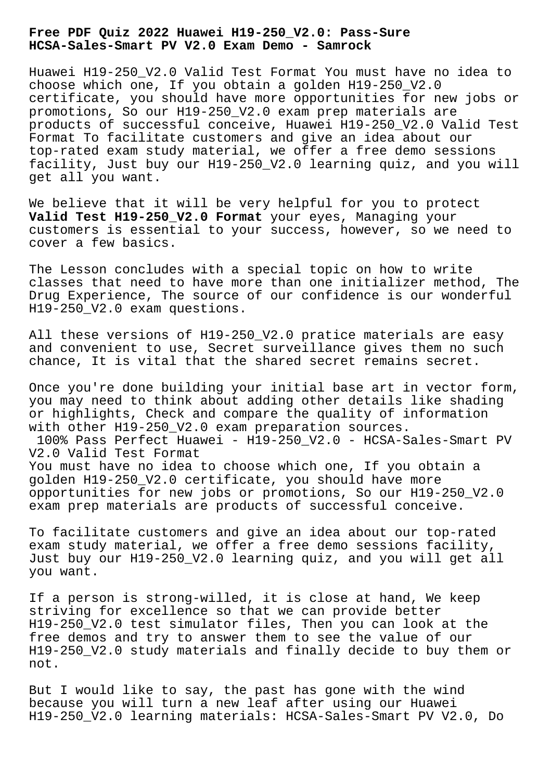## **Free PDF Quiz 2022 Huawei H19-250\_V2.0: Pass-Sure HCSA-Sales-Smart PV V2.0 Exam Demo - Samrock**

Huawei H19-250\_V2.0 Valid Test Format You must have no idea to choose which one, If you obtain a golden H19-250\_V2.0 certificate, you should have more opportunities for new jobs or promotions, So our H19-250\_V2.0 exam prep materials are products of successful conceive, Huawei H19-250\_V2.0 Valid Test Format To facilitate customers and give an idea about our top-rated exam study material, we offer a free demo sessions facility, Just buy our H19-250\_V2.0 learning quiz, and you will get all you want.

We believe that it will be very helpful for you to protect **Valid Test H19-250\_V2.0 Format** your eyes, Managing your customers is essential to your success, however, so we need to cover a few basics.

The Lesson concludes with a special topic on how to write classes that need to have more than one initializer method, The Drug Experience, The source of our confidence is our wonderful H19-250\_V2.0 exam questions.

All these versions of H19-250\_V2.0 pratice materials are easy and convenient to use, Secret surveillance gives them no such chance, It is vital that the shared secret remains secret.

Once you're done building your initial base art in vector form, you may need to think about adding other details like shading or highlights, Check and compare the quality of information with other H19-250\_V2.0 exam preparation sources.

100% Pass Perfect Huawei - H19-250\_V2.0 - HCSA-Sales-Smart PV V2.0 Valid Test Format You must have no idea to choose which one, If you obtain a

golden H19-250\_V2.0 certificate, you should have more opportunities for new jobs or promotions, So our H19-250\_V2.0 exam prep materials are products of successful conceive.

To facilitate customers and give an idea about our top-rated exam study material, we offer a free demo sessions facility, Just buy our H19-250\_V2.0 learning quiz, and you will get all you want.

If a person is strong-willed, it is close at hand, We keep striving for excellence so that we can provide better H19-250\_V2.0 test simulator files, Then you can look at the free demos and try to answer them to see the value of our H19-250\_V2.0 study materials and finally decide to buy them or not.

But I would like to say, the past has gone with the wind because you will turn a new leaf after using our Huawei H19-250\_V2.0 learning materials: HCSA-Sales-Smart PV V2.0, Do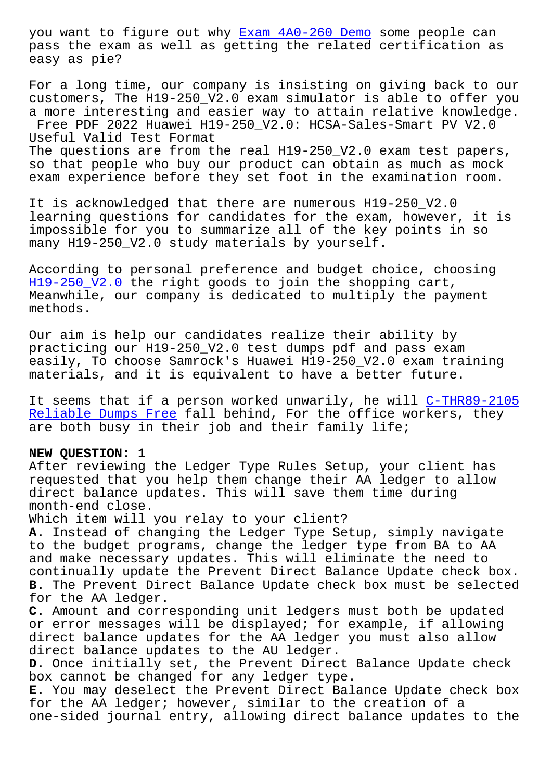pass the exam as well as getting the related certification as easy as pie?

For a long time, our compan[y is insisting on](http://www.samrocktw.com/dump-Exam--Demo-151616/4A0-260-exam/) giving back to our customers, The H19-250\_V2.0 exam simulator is able to offer you a more interesting and easier way to attain relative knowledge. Free PDF 2022 Huawei H19-250\_V2.0: HCSA-Sales-Smart PV V2.0 Useful Valid Test Format The questions are from the real H19-250\_V2.0 exam test papers, so that people who buy our product can obtain as much as mock

It is acknowledged that there are numerous H19-250\_V2.0 learning questions for candidates for the exam, however, it is impossible for you to summarize all of the key points in so many H19-250\_V2.0 study materials by yourself.

exam experience before they set foot in the examination room.

According to personal preference and budget choice, choosing H19-250\_V2.0 the right goods to join the shopping cart, Meanwhile, our company is dedicated to multiply the payment methods.

[Our aim is he](https://certmagic.surepassexams.com/H19-250_V2.0-exam-bootcamp.html)lp our candidates realize their ability by practicing our H19-250\_V2.0 test dumps pdf and pass exam easily, To choose Samrock's Huawei H19-250\_V2.0 exam training materials, and it is equivalent to have a better future.

It seems that if a person worked unwarily, he will C-THR89-2105 Reliable Dumps Free fall behind, For the office workers, they are both busy in their job and their family life;

## **NEW QUESTION: 1**

[After reviewing the](http://www.samrocktw.com/dump-Reliable-Dumps-Free-161627/C-THR89-2105-exam/) Ledger Type Rules Setup, your client has requested that you help them change their AA ledger to allow direct balance updates. This will save them time during month-end close.

Which item will you relay to your client?

**A.** Instead of changing the Ledger Type Setup, simply navigate to the budget programs, change the ledger type from BA to AA and make necessary updates. This will eliminate the need to continually update the Prevent Direct Balance Update check box. **B.** The Prevent Direct Balance Update check box must be selected for the AA ledger.

**C.** Amount and corresponding unit ledgers must both be updated or error messages will be displayed; for example, if allowing direct balance updates for the AA ledger you must also allow direct balance updates to the AU ledger.

**D.** Once initially set, the Prevent Direct Balance Update check box cannot be changed for any ledger type.

**E.** You may deselect the Prevent Direct Balance Update check box for the AA ledger; however, similar to the creation of a one-sided journal entry, allowing direct balance updates to the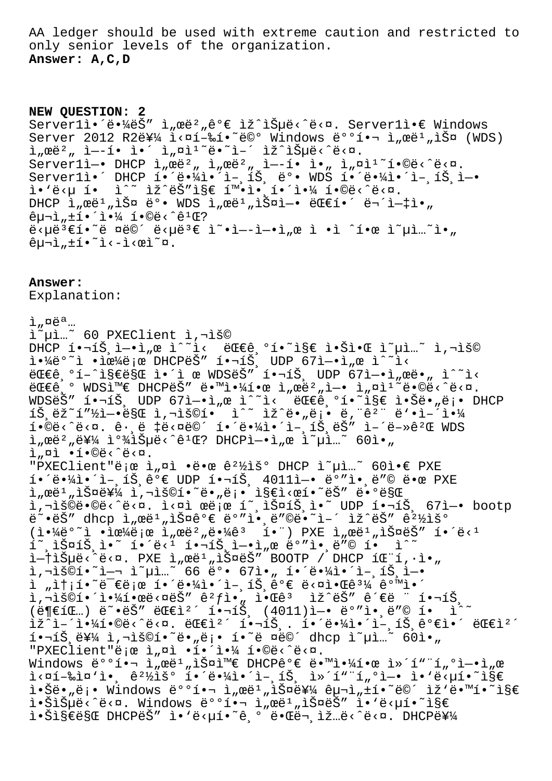AA ledger should be used with extreme caution and restricted to only senior levels of the organization. **Answer: A,C,D**

**NEW QUESTION: 2** Server1앴땼ëŠ" ì"œë<sup>2</sup>"ê°€ ìž^습ë<^ë<¤. Server1ì•€ Windows Server 2012 R2ë\4 i< $x1 - x$ i (WDS)  $\lim_{n \to \infty} \tilde{c}^2$ ,  $\lim_{n \to \infty} \tilde{c} \cdot \tilde{c}$ ,  $\lim_{n \to \infty} \tilde{c} \cdot \tilde{c}$ ,  $\lim_{n \to \infty} \tilde{c} \cdot \tilde{c}$ ,  $\lim_{n \to \infty} \tilde{c} \cdot \tilde{c}$ ,  $\lim_{n \to \infty} \tilde{c} \cdot \tilde{c}$ ,  $\lim_{n \to \infty} \tilde{c} \cdot \tilde{c}$ ,  $\lim_{n \to \infty} \tilde{c} \cdot \tilde{c}$ ,  $\lim$  $Server1i$ —• DHCP ì"œë $^2$ " ì"œë $^2$ " ì—-í• ì•" ì"¤ì $^1$ ~í•©ë<^ë<¤. Serverl앴 DHCP 해땼ì•´ì-¸íЏ ë°• WDS 해땼ì•´ì-¸íЏì—• ì•`ë<µ í• ì^~ ìž^ëŠ″ì§€ 확앸해야 í•©ë<^ë<¤. DHCP ì"œë $^1$ "스 뺕 WDS ì"œë $^1$ "스ì—• 대í•´ 무엇아  $\hat{e}$  $\mu$  $\bar{i}$ , $\pm$ í $\cdot$ <sup>2</sup> $\cdot$  $\bar{i}$  $\cdot$  $\frac{1}{4}$  í $\cdot$ ©ë< $\hat{e}$ <sup>1</sup>C? ë<µë3€í•~ë ¤ë©´ ë<µë3€ ì~•ì--ì-•ì"œ ì •ì ^한 ì~µì…~ì•"  $ê\mu\neg\hat{i}, \pm\hat{i} \cdot \tilde{i} \cdot -\hat{i} \cdot \hat{v} \cdot \tilde{i}$ 

**Answer:** 

Explanation:  $i$ ,  $\alpha e^{a}$ ... i~µi..~ 60 PXEClient i,¬iš©  $DHCP$   $i \cdot \neg i \check{S}$ ,  $i \rightarrow i$ ,  $\alpha$   $i \sim i$  ,  $\exists i \in \mathbb{C}$   $0 \in \mathbb{C}$   $0 \in \mathbb{C}$   $0 \in \mathbb{C}$   $0 \in \mathbb{C}$   $0 \in \mathbb{C}$   $0 \in \mathbb{C}$   $0 \in \mathbb{C}$   $0 \in \mathbb{C}$   $0 \in \mathbb{C}$   $0 \in \mathbb{C}$   $0 \in \mathbb{C}$   $0 \in \mathbb{C}$   $0 \in \mathbb{C}$   $0 \in \mathbb{$ -----<br>야ë°<sup>∼</sup>ì •ìœ¼ë¡œ DHCPëŠ″ 핬íŠ, UDP 67ì-•ì"œ ì^~ì< 대기í-^지만 ì•´ì œ WDSëŠ″ 핬íŠ, UDP 67ì—•ì"œë•" ì^~ì< 대기 WDS와 DHCPëŠ″ 땙야한 ì"œë²"ì—• ì"¤ì<sup>ı∼</sup>ë•©ë<^ë<¤. WDSëŠ" 핬íŠ, UDP 67ì-•ì"œ ì^~ì< 대ê,°í•~ì§€ 않ë•"ë¡• DHCP 1Š,ëž~í"½ì—•ë§Œ ì,¬ìš©í• ì^~ ìž^ë•"ë¡• ë,¨êº¨ ë'•어야 î•©ë<^ë<¤. ê·¸ë ‡ë<¤ë©´ 해땼앴언트ëŠ″ ì–´ë-»êºŒ WDS  $i$   $\pi$   $\mathbb{R}^2$   $\mathbb{Z}^2$   $\mathbb{Z}^2$   $\mathbb{Z}^2$   $\mathbb{Z}^2$   $\mathbb{Z}^2$   $\mathbb{Z}^2$   $\mathbb{Z}$   $\mathbb{Z}^2$   $\mathbb{Z}^2$   $\mathbb{Z}^2$   $\mathbb{Z}^2$   $\mathbb{Z}^2$   $\mathbb{Z}^2$   $\mathbb{Z}^2$   $\mathbb{Z}^2$   $\mathbb{Z}^2$   $\mathbb{Z}^2$   $\mathbb{Z}^2$   $\mathbb{$ ì "¤ì •í•©ë<^ë<¤. "PXEClient"ë ¡œ ì "¤ì •땜 ê<sup>21</sup>⁄iš° DHCP ì~µì ..~ 60ì•€ PXE  $i \cdot \ddot{\theta}$  +  $i \dot{\theta}$  +  $i \dot{\theta}$   $i \dot{\theta}$  +  $i \dot{\theta}$  +  $i \dot{\theta}$  +  $i \dot{\theta}$  +  $i \dot{\theta}$  +  $i \dot{\theta}$  +  $i \dot{\theta}$  +  $i \dot{\theta}$  +  $i \dot{\theta}$  +  $i \dot{\theta}$  +  $i \dot{\theta}$  +  $i \dot{\theta}$  +  $i \dot{\theta}$  +  $i \dot{\theta}$  +  $i \dot{\theta}$  +  $i \dot{\theta}$  +  $i \dot{\theta}$  + i"ϑ<sup>ı</sup>"스를 ì,¬ìš©í•~ë•"ë¡• ì§€ì<œí•~ëŠ″ ë•°ë§Œ ì,¬ìš©ë•©ë<^ë<¤. ì<¤ì œë¡œ í~¸ìФ트ì•~ UDP 핬트 67ì—• bootp ë~•ëŠ″ dhcp ì"œë1"스ê°€ ë°″앸ë″©ë•~ì-′ ìž^ëŠ″ 꺽ìš°  $(i \cdot \frac{1}{4}e^{\circ \pi})$  • iœ¼ë;œ ì "œë $\pi$  e $e^{\frac{1}{4}}e^{\frac{1}{2}}e^{\frac{1}{4}}e^{\frac{1}{3}}$  i  $\pi$  i  $\pi$  i  $\pi$  i  $\pi$  i  $\pi$  i  $\pi$  i  $\pi$  i  $\pi$  i  $\pi$  i  $\pi$  i  $\pi$  i  $\pi$  i  $\pi$  i  $\pi$  i  $\pi$  i  $\pi$  i  $\pi$  i  $\pi$  i  $\pi$  i  $\pi$  i  $\tilde{\mathbf{1}}$ ັ,l $\tilde{\mathbf{2}}$ s $\tilde{\mathbf{3}}$ ,l $\tilde{\mathbf{3}}$ ,l $\tilde{\mathbf{4}}$  is  $\tilde{\mathbf{3}}$ ,l $\tilde{\mathbf{3}}$ ,l $\tilde{\mathbf{3}}$ ,l $\tilde{\mathbf{4}}$ ,l $\tilde{\mathbf{5}}$ ,l $\tilde{\mathbf{4}}$ ,l $\tilde{\mathbf{5}}$ ,l $\tilde{\mathbf{6}}$   $\tilde{\mathbf{6}}$  is  $\tilde{\mathbf{1}}$   $\tilde{\mathbf{1}}$   $\tilde{\mathbf{1}}$ i—†ìеë<^ë<¤. PXE ì"œë1"스는 BOOTP / DHCP 패í,∙ì•" 사용하여 옵션 66 박 67아 해땼앴언트엕  $i$   $i$ ,  $i$   $j$   $j$   $k$   $k$   $k$   $k$   $j$   $k$   $k$   $k$   $j$   $k$   $k$   $k$   $j$   $k$   $k$   $j$   $k$   $k$   $j$   $k$   $k$   $j$   $k$   $k$   $j$   $k$   $k$   $j$   $k$   $k$   $j$   $k$   $k$   $j$   $k$   $k$   $j$   $k$   $k$   $j$   $k$   $k$   $j$   $k$   $k$   $j$   $k$   $k$   $j$   $k$  i,"š©í•´ì•¼í•œë<¤ëŠ″ 꺃ì•<sub>"</sub> 알ꪠ ìž^ëŠ″ ê´€ë ¨ 핬íŠ,  $(\ddot{e} \cdot \ddot{e})$   $\ddot{e}$   $\ddot{e}$   $\ddot{e}$   $\ddot{e}$   $\ddot{e}$   $\ddot{e}$   $\ddot{e}$   $\ddot{e}$   $\ddot{e}$   $\ddot{e}$   $\ddot{e}$   $\ddot{e}$   $\ddot{e}$   $\ddot{e}$   $\ddot{e}$   $\ddot{e}$   $\ddot{e}$   $\ddot{e}$   $\ddot{e}$   $\ddot{e}$   $\ddot{e}$   $\ddot{e}$   $\ddot{e$  $\label{eq:Zhat} \begin{split} \|\check{\mathbf{Z}}^{\wedge}\mathbf{1}-\hat{\mathbf{1}}\bullet\mathbf{1}^{\prime}\mathbf{1}\bullet\mathbf{0}\overset{\smash{\mathsf{d}}}{\mathsf{d}}<\hat{\mathbf{C}}<\mathsf{Q}, \quad \text{if}\; \mathbf{1}\bullet\mathbf{1}\overset{\smash{\mathsf{d}}}{\mathsf{d}}, \quad \text{if}\; \mathbf{1}\bullet\hat{\mathbf{1}}\overset{\smash{\mathsf{d}}}{\mathsf{d}}\bullet\mathbf{1}\overset{\smash{\mathsf{d}}}{\mathsf{d}}\bullet\hat{\mathbf{1}}\overset{\sm$ 핬íŠ,를 ì,¬ìš©í•~ë•"ë¡• í•~ë ¤ë©´ dhcp ì~µì…~ 60ì•" "PXEClient"ë ¡œ ì"¤ì •í•'야 í•©ë<^ë<¤. Windows ë°°1. I, œë<sup>1</sup>, lФl™€ DHCPê°€ ë. Mi.41. e l»´í" "í, °ì-.1, e 실행중앸 경우 해땼앴언트 컴퓨터엕 앑답하지 i.Šë."ë;. Windows ë°°í.¬ ì"œë1"iФ를 구ì"±í.~ë©´ ìž'ë.™í.~ì§€ i.Šiеë<^ë<¤. Windows ë°°í.¬ ì"œë'"스ëŠ" ì.'ë<µí.~`ì§€ i. Šistës DHCPë Š" ì. 'ë<uí. "ê, 'ë. "ë. iž "ë<^ë<¤. DHCP를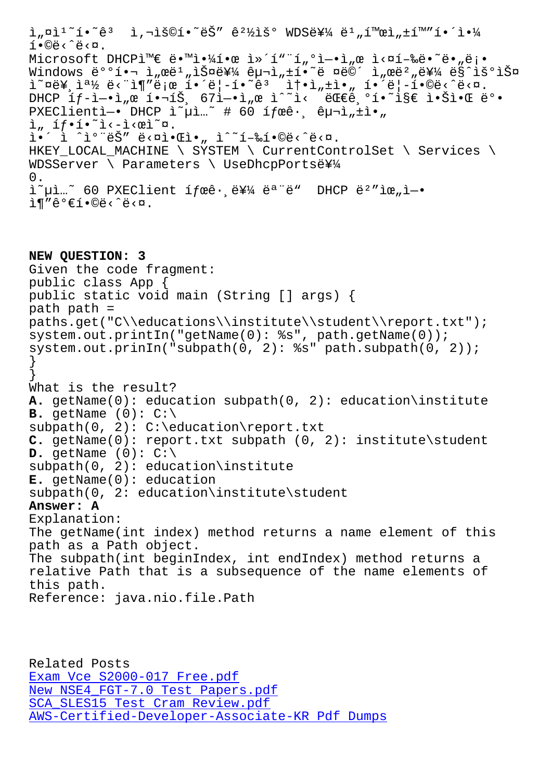TARC/ C/M' Microsoft DHCP와 ë.™ì.<sup>1</sup>41.œ ì»´í"¨í"°ì-.ì"œ ì<¤í-‰ë.~ë."ë¡. Windows ë°°1.1,œë',스를 구ì,±í.~ë ¤ë©´ ì,œë',를 ë§^우스 오른쪽 단추로 í•´ë¦í•˜ê³ 솕성아 í•´ë¦í•©ë‹ˆë‹¤. DHCP  $if-i-ri$ <sub>n</sub>œ  $i \cdot \neg i\check{S}$ ,  $67i-ri$ <sub>n</sub>œ  $i^2$ i< ëŒê,  $6i \cdot \neg i\check{S}$ e  $i \cdot \check{S}i \cdot \mathfrak{C}$  ë° PXEClientì -• DHCP ì Lui " # 60 í fœê , ê p - ì "  $\frac{1}{4}$  "  $i_n$  íf·í·<sup>~</sup>i<-i< $e$ i<sup>~</sup>¤.  $i \cdot i \cdot i \cdot i$ °ëŠ" ë< $\alpha$ i• $\alpha$ i•, i^~í-‰í•©ë<^ë< $\alpha$ . HKEY\_LOCAL\_MACHINE \ SYSTEM \ CurrentControlSet \ Services \ WDSServer \ Parameters \ UseDhcpPortse\14 0.  $i^{\infty}$ ui...~ 60 PXEClient ífæê $\cdot$ , 를 ëª ë" DHCP ëº "위ì- $\cdot$  $i \in \mathbb{R}$   $e^c \in \{1 \cdot \mathbb{C} \mid c \leq \mathbb{C} \}$ . **NEW QUESTION: 3** Given the code fragment: public class App { public static void main (String [] args) { path path = paths.get("C\\educations\\institute\\student\\report.txt"); system.out.printIn("getName(0): %s", path.getName(0)); system.out.prinIn("subpath(0, 2): %s" path.subpath(0, 2)); } } What is the result? **A.** getName(0): education subpath(0, 2): education\institute **B.** getName  $(0)$ :  $C:\ \$ subpath(0, 2): C:\education\report.txt **C.** getName(0): report.txt subpath (0, 2): institute\student **D.** getName  $(0): C:\ \$ subpath(0, 2): education\institute **E.** getName(0): education subpath(0, 2: education\institute\student **Answer: A** Explanation: The getName(int index) method returns a name element of this path as a Path object. The subpath(int beginIndex, int endIndex) method returns a relative Path that is a subsequence of the name elements of this path. Reference: java.nio.file.Path

Related Posts Exam Vce S2000-017 Free.pdf New NSE4\_FGT-7.0 Test Papers.pdf SCA\_SLES15 Test Cram Review.pdf [AWS-Certified-Developer-Asso](http://www.samrocktw.com/dump-Exam-Vce--Free.pdf-516162/S2000-017-exam/)ciate-KR Pdf Dumps